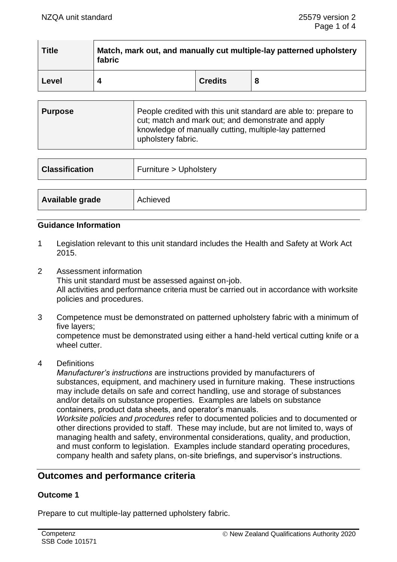| <b>Title</b> | Match, mark out, and manually cut multiple-lay patterned upholstery<br>fabric |                |   |
|--------------|-------------------------------------------------------------------------------|----------------|---|
| Level        |                                                                               | <b>Credits</b> | 8 |

| <b>Purpose</b> | People credited with this unit standard are able to: prepare to<br>cut; match and mark out; and demonstrate and apply<br>knowledge of manually cutting, multiple-lay patterned<br>upholstery fabric. |
|----------------|------------------------------------------------------------------------------------------------------------------------------------------------------------------------------------------------------|
|----------------|------------------------------------------------------------------------------------------------------------------------------------------------------------------------------------------------------|

| <b>Classification</b> | Furniture > Upholstery |  |
|-----------------------|------------------------|--|
|                       |                        |  |
| Available grade       | Achieved               |  |

## **Guidance Information**

- 1 Legislation relevant to this unit standard includes the Health and Safety at Work Act 2015.
- 2 Assessment information This unit standard must be assessed against on-job. All activities and performance criteria must be carried out in accordance with worksite policies and procedures.
- 3 Competence must be demonstrated on patterned upholstery fabric with a minimum of five layers; competence must be demonstrated using either a hand-held vertical cutting knife or a wheel cutter.
- 4 Definitions

*Manufacturer's instructions* are instructions provided by manufacturers of substances, equipment, and machinery used in furniture making. These instructions may include details on safe and correct handling, use and storage of substances and/or details on substance properties. Examples are labels on substance containers, product data sheets, and operator's manuals.

*Worksite policies and procedures* refer to documented policies and to documented or other directions provided to staff. These may include, but are not limited to, ways of managing health and safety, environmental considerations, quality, and production, and must conform to legislation. Examples include standard operating procedures, company health and safety plans, on-site briefings, and supervisor's instructions.

# **Outcomes and performance criteria**

### **Outcome 1**

Prepare to cut multiple-lay patterned upholstery fabric.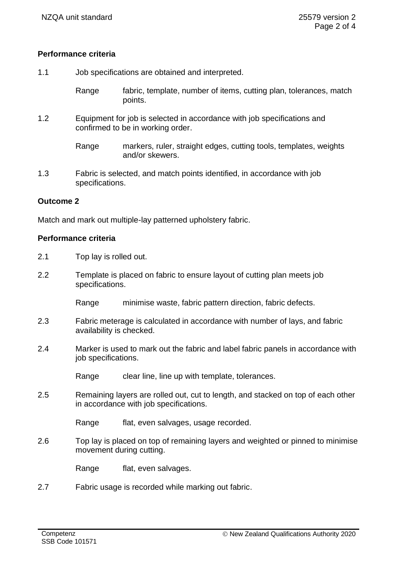## **Performance criteria**

1.1 Job specifications are obtained and interpreted.

Range fabric, template, number of items, cutting plan, tolerances, match points.

1.2 Equipment for job is selected in accordance with job specifications and confirmed to be in working order.

> Range markers, ruler, straight edges, cutting tools, templates, weights and/or skewers.

1.3 Fabric is selected, and match points identified, in accordance with job specifications.

#### **Outcome 2**

Match and mark out multiple-lay patterned upholstery fabric.

#### **Performance criteria**

- 2.1 Top lay is rolled out.
- 2.2 Template is placed on fabric to ensure layout of cutting plan meets job specifications.

Range minimise waste, fabric pattern direction, fabric defects.

- 2.3 Fabric meterage is calculated in accordance with number of lays, and fabric availability is checked.
- 2.4 Marker is used to mark out the fabric and label fabric panels in accordance with job specifications.

Range clear line, line up with template, tolerances.

2.5 Remaining layers are rolled out, cut to length, and stacked on top of each other in accordance with job specifications.

Range flat, even salvages, usage recorded.

2.6 Top lay is placed on top of remaining layers and weighted or pinned to minimise movement during cutting.

Range flat, even salvages.

2.7 Fabric usage is recorded while marking out fabric.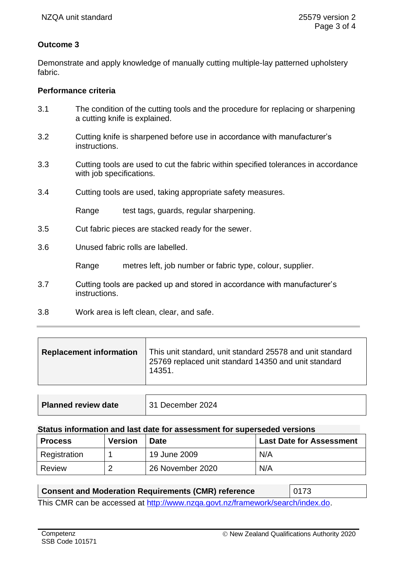# **Outcome 3**

Demonstrate and apply knowledge of manually cutting multiple-lay patterned upholstery fabric.

### **Performance criteria**

- 3.1 The condition of the cutting tools and the procedure for replacing or sharpening a cutting knife is explained.
- 3.2 Cutting knife is sharpened before use in accordance with manufacturer's instructions.
- 3.3 Cutting tools are used to cut the fabric within specified tolerances in accordance with job specifications.
- 3.4 Cutting tools are used, taking appropriate safety measures.

Range test tags, guards, regular sharpening.

- 3.5 Cut fabric pieces are stacked ready for the sewer.
- 3.6 Unused fabric rolls are labelled.

Range metres left, job number or fabric type, colour, supplier.

- 3.7 Cutting tools are packed up and stored in accordance with manufacturer's instructions.
- 3.8 Work area is left clean, clear, and safe.

| <b>Replacement information</b> | This unit standard, unit standard 25578 and unit standard<br>25769 replaced unit standard 14350 and unit standard<br>14351. |
|--------------------------------|-----------------------------------------------------------------------------------------------------------------------------|
|                                |                                                                                                                             |

| Planned review date | 31 December 2024 |
|---------------------|------------------|
|---------------------|------------------|

#### **Status information and last date for assessment for superseded versions**

| <b>Process</b> | <b>Version</b> | Date             | <b>Last Date for Assessment</b> |
|----------------|----------------|------------------|---------------------------------|
| Registration   |                | 19 June 2009     | N/A                             |
| Review         | ີ              | 26 November 2020 | N/A                             |

### **Consent and Moderation Requirements (CMR) reference** | 0173

This CMR can be accessed at [http://www.nzqa.govt.nz/framework/search/index.do.](http://www.nzqa.govt.nz/framework/search/index.do)